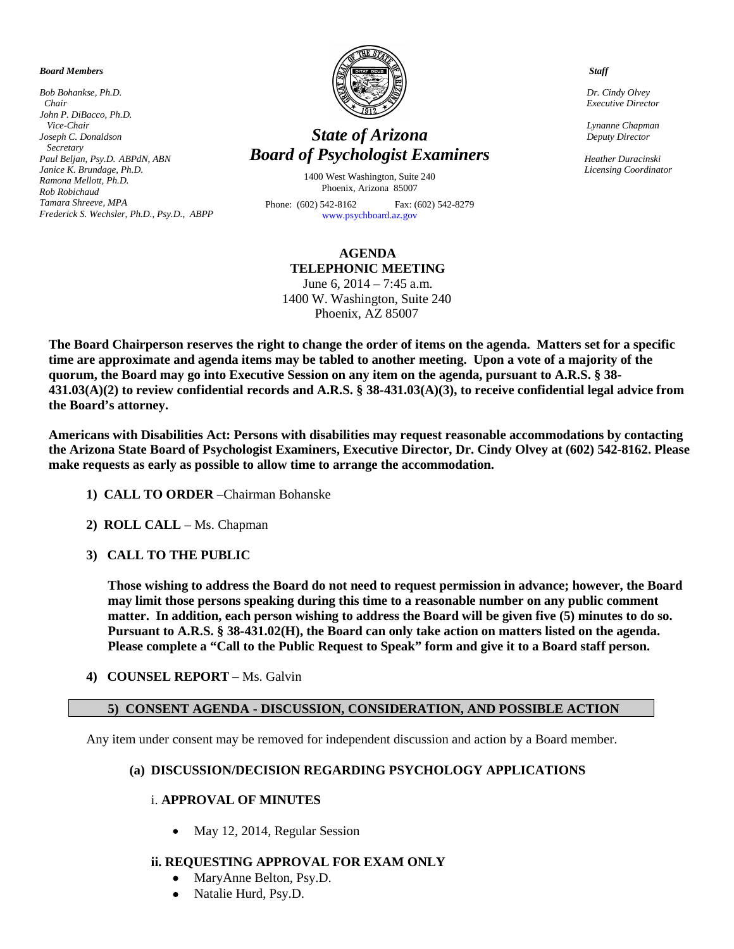*Board Members*

*Bob Bohankse, Ph.D. Chair John P. DiBacco, Ph.D. Vice-Chair Joseph C. Donaldson Secretary Paul Beljan, Psy.D. ABPdN, ABN Janice K. Brundage, Ph.D. Ramona Mellott, Ph.D. Rob Robichaud Tamara Shreeve, MPA Frederick S. Wechsler, Ph.D., Psy.D., ABPP* 



# *State of Arizona Board of Psychologist Examiners*

1400 West Washington, Suite 240 Phoenix, Arizona 85007

Phone: (602) 542-8162 Fax: (602) 542-8279 [www.psychboard.az.gov](http://www.psychboard.az.gov/) 

### **AGENDA TELEPHONIC MEETING**

June 6, 2014 – 7:45 a.m. 1400 W. Washington, Suite 240 Phoenix, AZ 85007

**The Board Chairperson reserves the right to change the order of items on the agenda. Matters set for a specific time are approximate and agenda items may be tabled to another meeting. Upon a vote of a majority of the quorum, the Board may go into Executive Session on any item on the agenda, pursuant to A.R.S. § 38- 431.03(A)(2) to review confidential records and A.R.S. § 38-431.03(A)(3), to receive confidential legal advice from the Board's attorney.**

**Americans with Disabilities Act: Persons with disabilities may request reasonable accommodations by contacting the Arizona State Board of Psychologist Examiners, Executive Director, Dr. Cindy Olvey at (602) 542-8162. Please make requests as early as possible to allow time to arrange the accommodation.**

- **1) CALL TO ORDER** –Chairman Bohanske
- **2) ROLL CALL** Ms. Chapman
- **3) CALL TO THE PUBLIC**

**Those wishing to address the Board do not need to request permission in advance; however, the Board may limit those persons speaking during this time to a reasonable number on any public comment matter. In addition, each person wishing to address the Board will be given five (5) minutes to do so. Pursuant to A.R.S. § 38-431.02(H), the Board can only take action on matters listed on the agenda. Please complete a "Call to the Public Request to Speak" form and give it to a Board staff person.**

**4) COUNSEL REPORT –** Ms. Galvin

### **5) CONSENT AGENDA - DISCUSSION, CONSIDERATION, AND POSSIBLE ACTION**

Any item under consent may be removed for independent discussion and action by a Board member.

### **(a) DISCUSSION/DECISION REGARDING PSYCHOLOGY APPLICATIONS**

### i. **APPROVAL OF MINUTES**

• May 12, 2014, Regular Session

### **ii. REQUESTING APPROVAL FOR EXAM ONLY**

- MaryAnne Belton, Psy.D.
- Natalie Hurd, Psy.D.

 *Staff*

 *Dr. Cindy Olvey Executive Director*

 *Lynanne Chapman Deputy Director*

 *Heather Duracinski Licensing Coordinator*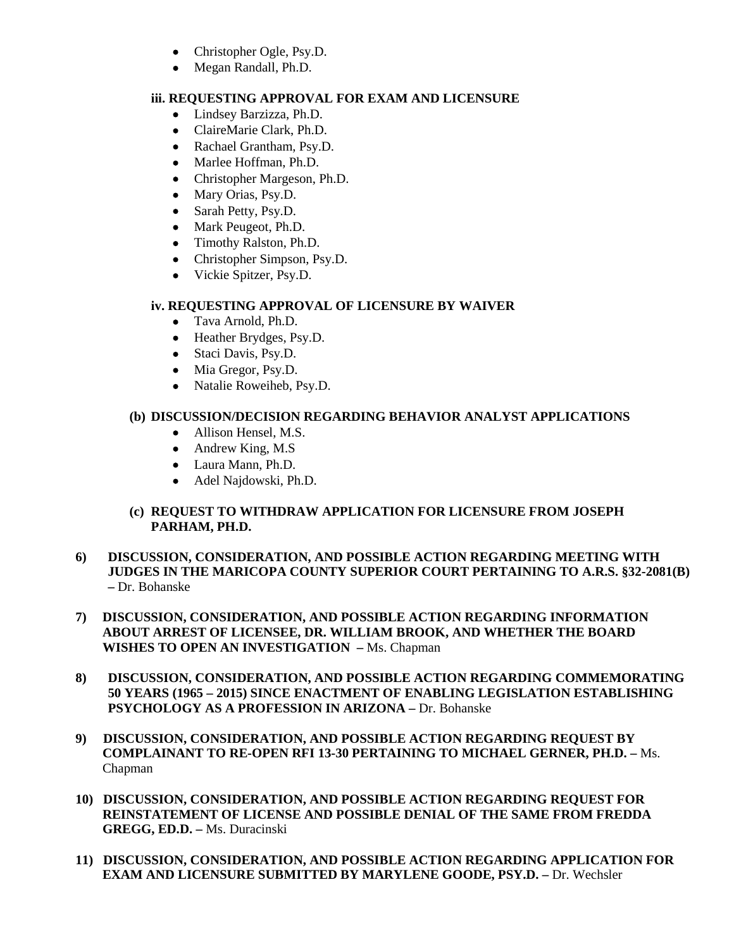- Christopher Ogle, Psy.D.
- Megan Randall, Ph.D.

### **iii. REQUESTING APPROVAL FOR EXAM AND LICENSURE**

- Lindsey Barzizza, Ph.D.
- ClaireMarie Clark, Ph.D.
- Rachael Grantham, Psy.D.
- Marlee Hoffman, Ph.D.
- Christopher Margeson, Ph.D.
- Mary Orias, Psy.D.
- Sarah Petty, Psy.D.
- Mark Peugeot, Ph.D.
- Timothy Ralston, Ph.D.
- Christopher Simpson, Psy.D.
- Vickie Spitzer, Psy.D.

### **iv. REQUESTING APPROVAL OF LICENSURE BY WAIVER**

- Tava Arnold, Ph.D.
- Heather Brydges, Psy.D.
- Staci Davis, Psy.D.
- Mia Gregor, Psy.D.
- Natalie Roweiheb, Psy.D.

## **(b) DISCUSSION/DECISION REGARDING BEHAVIOR ANALYST APPLICATIONS**

- Allison Hensel, M.S.
- Andrew King, M.S
- Laura Mann, Ph.D.
- Adel Najdowski, Ph.D.

### **(c) REQUEST TO WITHDRAW APPLICATION FOR LICENSURE FROM JOSEPH PARHAM, PH.D.**

- **6) DISCUSSION, CONSIDERATION, AND POSSIBLE ACTION REGARDING MEETING WITH JUDGES IN THE MARICOPA COUNTY SUPERIOR COURT PERTAINING TO A.R.S. §32-2081(B) –** Dr. Bohanske
- **7) DISCUSSION, CONSIDERATION, AND POSSIBLE ACTION REGARDING INFORMATION ABOUT ARREST OF LICENSEE, DR. WILLIAM BROOK, AND WHETHER THE BOARD WISHES TO OPEN AN INVESTIGATION –** Ms. Chapman
- **8) DISCUSSION, CONSIDERATION, AND POSSIBLE ACTION REGARDING COMMEMORATING 50 YEARS (1965 – 2015) SINCE ENACTMENT OF ENABLING LEGISLATION ESTABLISHING PSYCHOLOGY AS A PROFESSION IN ARIZONA –** Dr. Bohanske
- **9) DISCUSSION, CONSIDERATION, AND POSSIBLE ACTION REGARDING REQUEST BY COMPLAINANT TO RE-OPEN RFI 13-30 PERTAINING TO MICHAEL GERNER, PH.D. –** Ms. Chapman
- **10) DISCUSSION, CONSIDERATION, AND POSSIBLE ACTION REGARDING REQUEST FOR REINSTATEMENT OF LICENSE AND POSSIBLE DENIAL OF THE SAME FROM FREDDA GREGG, ED.D. –** Ms. Duracinski
- **11) DISCUSSION, CONSIDERATION, AND POSSIBLE ACTION REGARDING APPLICATION FOR EXAM AND LICENSURE SUBMITTED BY MARYLENE GOODE, PSY.D. –** Dr. Wechsler